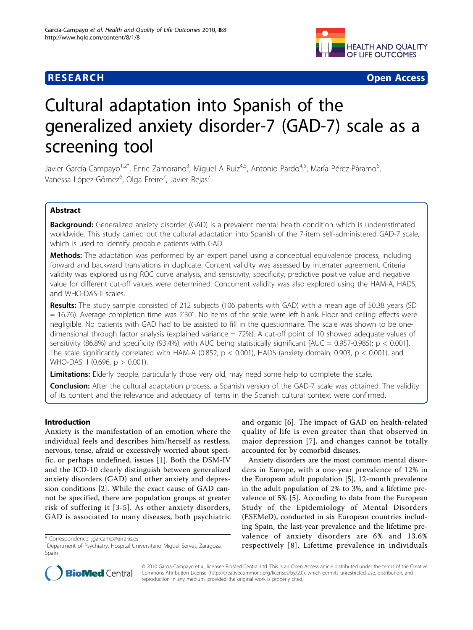# **RESEARCH CONSTRUCTION CONSTRUCTS**



# Cultural adaptation into Spanish of the generalized anxiety disorder-7 (GAD-7) scale as a screening tool

Javier García-Campayo<sup>1,2\*</sup>, Enric Zamorano<sup>3</sup>, Miguel A Ruiz<sup>4,5</sup>, Antonio Pardo<sup>4,5</sup>, María Pérez-Páramo<sup>6</sup> , Vanessa López-Gómez<sup>6</sup>, Olga Freire<sup>7</sup>, Javier Rejas<sup>7</sup>

# Abstract

**Background:** Generalized anxiety disorder (GAD) is a prevalent mental health condition which is underestimated worldwide. This study carried out the cultural adaptation into Spanish of the 7-item self-administered GAD-7 scale, which is used to identify probable patients with GAD.

**Methods:** The adaptation was performed by an expert panel using a conceptual equivalence process, including forward and backward translations in duplicate. Content validity was assessed by interrater agreement. Criteria validity was explored using ROC curve analysis, and sensitivity, specificity, predictive positive value and negative value for different cut-off values were determined. Concurrent validity was also explored using the HAM-A, HADS, and WHO-DAS-II scales.

Results: The study sample consisted of 212 subjects (106 patients with GAD) with a mean age of 50.38 years (SD = 16.76). Average completion time was 2'30''. No items of the scale were left blank. Floor and ceiling effects were negligible. No patients with GAD had to be assisted to fill in the questionnaire. The scale was shown to be onedimensional through factor analysis (explained variance = 72%). A cut-off point of 10 showed adequate values of sensitivity (86.8%) and specificity (93.4%), with AUC being statistically significant [AUC = 0.957-0.985);  $p < 0.001$ ]. The scale significantly correlated with HAM-A (0.852,  $p < 0.001$ ), HADS (anxiety domain, 0.903,  $p < 0.001$ ), and WHO-DAS II (0.696, p > 0.001).

Limitations: Elderly people, particularly those very old, may need some help to complete the scale.

**Conclusion:** After the cultural adaptation process, a Spanish version of the GAD-7 scale was obtained. The validity of its content and the relevance and adequacy of items in the Spanish cultural context were confirmed.

# Introduction

Anxiety is the manifestation of an emotion where the individual feels and describes him/herself as restless, nervous, tense, afraid or excessively worried about specific, or perhaps undefined, issues [[1\]](#page-9-0). Both the DSM-IV and the ICD-10 clearly distinguish between generalized anxiety disorders (GAD) and other anxiety and depression conditions [[2\]](#page-9-0). While the exact cause of GAD cannot be specified, there are population groups at greater risk of suffering it [[3-5](#page-9-0)]. As other anxiety disorders, GAD is associated to many diseases, both psychiatric

and organic [[6\]](#page-9-0). The impact of GAD on health-related quality of life is even greater than that observed in major depression [[7](#page-9-0)], and changes cannot be totally accounted for by comorbid diseases.

Anxiety disorders are the most common mental disorders in Europe, with a one-year prevalence of 12% in the European adult population [[5\]](#page-9-0), 12-month prevalence in the adult population of 2% to 3%, and a lifetime prevalence of 5% [[5\]](#page-9-0). According to data from the European Study of the Epidemiology of Mental Disorders (ESEMeD), conducted in six European countries including Spain, the last-year prevalence and the lifetime prevalence of anxiety disorders are 6% and 13.6% respectively [[8](#page-9-0)]. Lifetime prevalence in individuals



© 2010 García-Campayo et al; licensee BioMed Central Ltd. This is an Open Access article distributed under the terms of the Creative Commons Attribution License [\(http://creativecommons.org/licenses/by/2.0](http://creativecommons.org/licenses/by/2.0)), which permits unrestricted use, distribution, and reproduction in any medium, provided the original work is properly cited.

<sup>\*</sup> Correspondence: [jgarcamp@arrakis.es](mailto:jgarcamp@arrakis.es)

<sup>&</sup>lt;sup>1</sup>Department of Psychiatry, Hospital Universitario Miguel Servet, Zaragoza, Spain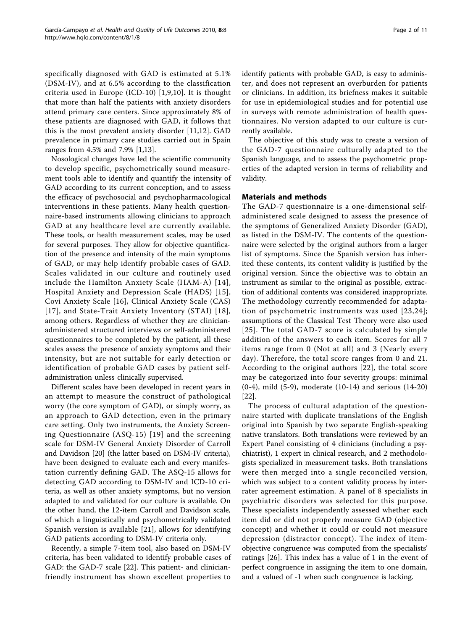specifically diagnosed with GAD is estimated at 5.1% (DSM-IV), and at 6.5% according to the classification criteria used in Europe (ICD-10) [\[1](#page-9-0),[9,10](#page-9-0)]. It is thought that more than half the patients with anxiety disorders attend primary care centers. Since approximately 8% of these patients are diagnosed with GAD, it follows that this is the most prevalent anxiety disorder [[11](#page-9-0),[12\]](#page-9-0). GAD prevalence in primary care studies carried out in Spain ranges from 4.5% and 7.9% [\[1,13](#page-9-0)].

Nosological changes have led the scientific community to develop specific, psychometrically sound measurement tools able to identify and quantify the intensity of GAD according to its current conception, and to assess the efficacy of psychosocial and psychopharmacological interventions in these patients. Many health questionnaire-based instruments allowing clinicians to approach GAD at any healthcare level are currently available. These tools, or health measurement scales, may be used for several purposes. They allow for objective quantification of the presence and intensity of the main symptoms of GAD, or may help identify probable cases of GAD. Scales validated in our culture and routinely used include the Hamilton Anxiety Scale (HAM-A) [[14\]](#page-9-0), Hospital Anxiety and Depression Scale (HADS) [\[15\]](#page-9-0), Covi Anxiety Scale [[16](#page-9-0)], Clinical Anxiety Scale (CAS) [[17\]](#page-9-0), and State-Trait Anxiety Inventory (STAI) [[18\]](#page-9-0), among others. Regardless of whether they are clinicianadministered structured interviews or self-administered questionnaires to be completed by the patient, all these scales assess the presence of anxiety symptoms and their intensity, but are not suitable for early detection or identification of probable GAD cases by patient selfadministration unless clinically supervised.

Different scales have been developed in recent years in an attempt to measure the construct of pathological worry (the core symptom of GAD), or simply worry, as an approach to GAD detection, even in the primary care setting. Only two instruments, the Anxiety Screening Questionnaire (ASQ-15) [[19\]](#page-9-0) and the screening scale for DSM-IV General Anxiety Disorder of Carroll and Davidson [\[20\]](#page-9-0) (the latter based on DSM-IV criteria), have been designed to evaluate each and every manifestation currently defining GAD. The ASQ-15 allows for detecting GAD according to DSM-IV and ICD-10 criteria, as well as other anxiety symptoms, but no version adapted to and validated for our culture is available. On the other hand, the 12-item Carroll and Davidson scale, of which a linguistically and psychometrically validated Spanish version is available [[21\]](#page-9-0), allows for identifying GAD patients according to DSM-IV criteria only.

Recently, a simple 7-item tool, also based on DSM-IV criteria, has been validated to identify probable cases of GAD: the GAD-7 scale [[22\]](#page-9-0). This patient- and clinicianfriendly instrument has shown excellent properties to identify patients with probable GAD, is easy to administer, and does not represent an overburden for patients or clinicians. In addition, its briefness makes it suitable for use in epidemiological studies and for potential use in surveys with remote administration of health questionnaires. No version adapted to our culture is currently available.

The objective of this study was to create a version of the GAD-7 questionnaire culturally adapted to the Spanish language, and to assess the psychometric properties of the adapted version in terms of reliability and validity.

# Materials and methods

The GAD-7 questionnaire is a one-dimensional selfadministered scale designed to assess the presence of the symptoms of Generalized Anxiety Disorder (GAD), as listed in the DSM-IV. The contents of the questionnaire were selected by the original authors from a larger list of symptoms. Since the Spanish version has inherited these contents, its content validity is justified by the original version. Since the objective was to obtain an instrument as similar to the original as possible, extraction of additional contents was considered inappropriate. The methodology currently recommended for adaptation of psychometric instruments was used [[23](#page-9-0),[24\]](#page-9-0); assumptions of the Classical Test Theory were also used [[25\]](#page-9-0). The total GAD-7 score is calculated by simple addition of the answers to each item. Scores for all 7 items range from 0 (Not at all) and 3 (Nearly every day). Therefore, the total score ranges from 0 and 21. According to the original authors [[22](#page-9-0)], the total score may be categorized into four severity groups: minimal (0-4), mild (5-9), moderate (10-14) and serious (14-20) [[22\]](#page-9-0).

The process of cultural adaptation of the questionnaire started with duplicate translations of the English original into Spanish by two separate English-speaking native translators. Both translations were reviewed by an Expert Panel consisting of 4 clinicians (including a psychiatrist), 1 expert in clinical research, and 2 methodologists specialized in measurement tasks. Both translations were then merged into a single reconciled version, which was subject to a content validity process by interrater agreement estimation. A panel of 8 specialists in psychiatric disorders was selected for this purpose. These specialists independently assessed whether each item did or did not properly measure GAD (objective concept) and whether it could or could not measure depression (distractor concept). The index of itemobjective congruence was computed from the specialists' ratings [[26\]](#page-10-0). This index has a value of 1 in the event of perfect congruence in assigning the item to one domain, and a valued of -1 when such congruence is lacking.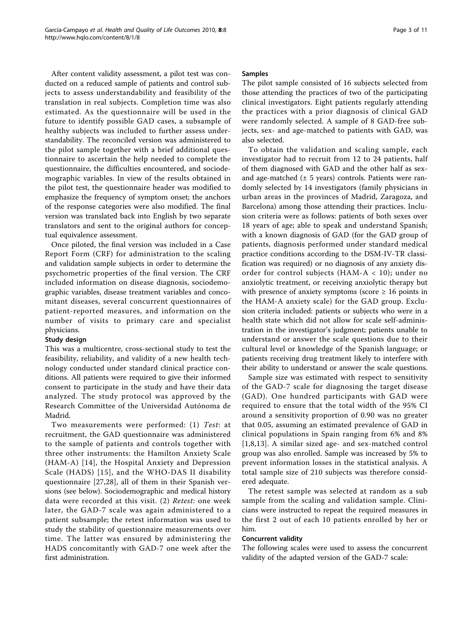After content validity assessment, a pilot test was conducted on a reduced sample of patients and control subjects to assess understandability and feasibility of the translation in real subjects. Completion time was also estimated. As the questionnaire will be used in the future to identify possible GAD cases, a subsample of healthy subjects was included to further assess understandability. The reconciled version was administered to the pilot sample together with a brief additional questionnaire to ascertain the help needed to complete the questionnaire, the difficulties encountered, and sociodemographic variables. In view of the results obtained in the pilot test, the questionnaire header was modified to emphasize the frequency of symptom onset; the anchors of the response categories were also modified. The final version was translated back into English by two separate translators and sent to the original authors for conceptual equivalence assessment.

Once piloted, the final version was included in a Case Report Form (CRF) for administration to the scaling and validation sample subjects in order to determine the psychometric properties of the final version. The CRF included information on disease diagnosis, sociodemographic variables, disease treatment variables and concomitant diseases, several concurrent questionnaires of patient-reported measures, and information on the number of visits to primary care and specialist physicians.

# Study design

This was a multicentre, cross-sectional study to test the feasibility, reliability, and validity of a new health technology conducted under standard clinical practice conditions. All patients were required to give their informed consent to participate in the study and have their data analyzed. The study protocol was approved by the Research Committee of the Universidad Autónoma de Madrid.

Two measurements were performed: (1) Test: at recruitment, the GAD questionnaire was administered to the sample of patients and controls together with three other instruments: the Hamilton Anxiety Scale (HAM-A) [[14](#page-9-0)], the Hospital Anxiety and Depression Scale (HADS) [[15\]](#page-9-0), and the WHO-DAS II disability questionnaire [[27,28](#page-10-0)], all of them in their Spanish versions (see below). Sociodemographic and medical history data were recorded at this visit. (2) Retest: one week later, the GAD-7 scale was again administered to a patient subsample; the retest information was used to study the stability of questionnaire measurements over time. The latter was ensured by administering the HADS concomitantly with GAD-7 one week after the first administration.

# Samples

The pilot sample consisted of 16 subjects selected from those attending the practices of two of the participating clinical investigators. Eight patients regularly attending the practices with a prior diagnosis of clinical GAD were randomly selected. A sample of 8 GAD-free subjects, sex- and age-matched to patients with GAD, was also selected.

To obtain the validation and scaling sample, each investigator had to recruit from 12 to 24 patients, half of them diagnosed with GAD and the other half as sexand age-matched  $(± 5 \text{ years})$  controls. Patients were randomly selected by 14 investigators (family physicians in urban areas in the provinces of Madrid, Zaragoza, and Barcelona) among those attending their practices. Inclusion criteria were as follows: patients of both sexes over 18 years of age; able to speak and understand Spanish; with a known diagnosis of GAD (for the GAD group of patients, diagnosis performed under standard medical practice conditions according to the DSM-IV-TR classification was required) or no diagnosis of any anxiety disorder for control subjects (HAM-A < 10); under no anxiolytic treatment, or receiving anxiolytic therapy but with presence of anxiety symptoms (score  $\geq 16$  points in the HAM-A anxiety scale) for the GAD group. Exclusion criteria included: patients or subjects who were in a health state which did not allow for scale self-administration in the investigator's judgment; patients unable to understand or answer the scale questions due to their cultural level or knowledge of the Spanish language; or patients receiving drug treatment likely to interfere with their ability to understand or answer the scale questions.

Sample size was estimated with respect to sensitivity of the GAD-7 scale for diagnosing the target disease (GAD). One hundred participants with GAD were required to ensure that the total width of the 95% CI around a sensitivity proportion of 0.90 was no greater that 0.05, assuming an estimated prevalence of GAD in clinical populations in Spain ranging from 6% and 8% [[1](#page-9-0),[8,13](#page-9-0)]. A similar sized age- and sex-matched control group was also enrolled. Sample was increased by 5% to prevent information losses in the statistical analysis. A total sample size of 210 subjects was therefore considered adequate.

The retest sample was selected at random as a sub sample from the scaling and validation sample. Clinicians were instructed to repeat the required measures in the first 2 out of each 10 patients enrolled by her or him.

#### Concurrent validity

The following scales were used to assess the concurrent validity of the adapted version of the GAD-7 scale: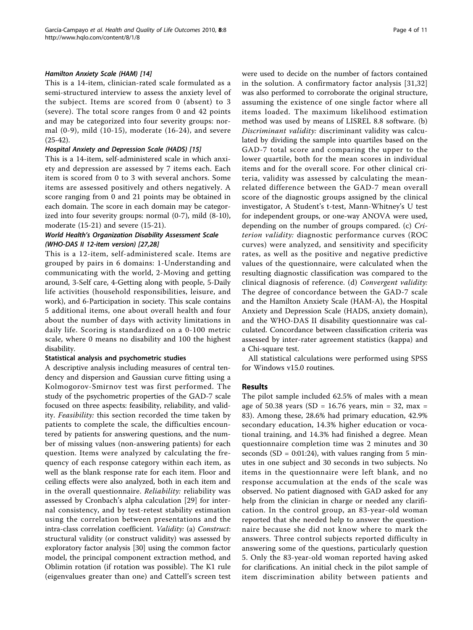This is a 14-item, clinician-rated scale formulated as a semi-structured interview to assess the anxiety level of the subject. Items are scored from 0 (absent) to 3 (severe). The total score ranges from 0 and 42 points and may be categorized into four severity groups: normal (0-9), mild (10-15), moderate (16-24), and severe  $(25-42).$ 

#### Hospital Anxiety and Depression Scale (HADS) [[15\]](#page-9-0)

This is a 14-item, self-administered scale in which anxiety and depression are assessed by 7 items each. Each item is scored from 0 to 3 with several anchors. Some items are assessed positively and others negatively. A score ranging from 0 and 21 points may be obtained in each domain. The score in each domain may be categorized into four severity groups: normal (0-7), mild (8-10), moderate (15-21) and severe (15-21).

# World Health's Organization Disability Assessment Scale (WHO-DAS II 12-item version) [[27,28\]](#page-10-0)

This is a 12-item, self-administered scale. Items are grouped by pairs in 6 domains: 1-Understanding and communicating with the world, 2-Moving and getting around, 3-Self care, 4-Getting along with people, 5-Daily life activities (household responsibilities, leisure, and work), and 6-Participation in society. This scale contains 5 additional items, one about overall health and four about the number of days with activity limitations in daily life. Scoring is standardized on a 0-100 metric scale, where 0 means no disability and 100 the highest disability.

#### Statistical analysis and psychometric studies

A descriptive analysis including measures of central tendency and dispersion and Gaussian curve fitting using a Kolmogorov-Smirnov test was first performed. The study of the psychometric properties of the GAD-7 scale focused on three aspects: feasibility, reliability, and validity. Feasibility: this section recorded the time taken by patients to complete the scale, the difficulties encountered by patients for answering questions, and the number of missing values (non-answering patients) for each question. Items were analyzed by calculating the frequency of each response category within each item, as well as the blank response rate for each item. Floor and ceiling effects were also analyzed, both in each item and in the overall questionnaire. Reliability: reliability was assessed by Cronbach's alpha calculation [\[29](#page-10-0)] for internal consistency, and by test-retest stability estimation using the correlation between presentations and the intra-class correlation coefficient. Validity: (a) Construct: structural validity (or construct validity) was assessed by exploratory factor analysis [\[30](#page-10-0)] using the common factor model, the principal component extraction method, and Oblimin rotation (if rotation was possible). The K1 rule (eigenvalues greater than one) and Cattell's screen test were used to decide on the number of factors contained in the solution. A confirmatory factor analysis [[31,32](#page-10-0)] was also performed to corroborate the original structure, assuming the existence of one single factor where all items loaded. The maximum likelihood estimation method was used by means of LISREL 8.8 software. (b) Discriminant validity: discriminant validity was calculated by dividing the sample into quartiles based on the GAD-7 total score and comparing the upper to the lower quartile, both for the mean scores in individual items and for the overall score. For other clinical criteria, validity was assessed by calculating the meanrelated difference between the GAD-7 mean overall score of the diagnostic groups assigned by the clinical investigator, A Student's t-test, Mann-Whitney's U test for independent groups, or one-way ANOVA were used, depending on the number of groups compared. (c) Criterion validity: diagnostic performance curves (ROC curves) were analyzed, and sensitivity and specificity rates, as well as the positive and negative predictive values of the questionnaire, were calculated when the resulting diagnostic classification was compared to the clinical diagnosis of reference. (d) Convergent validity: The degree of concordance between the GAD-7 scale and the Hamilton Anxiety Scale (HAM-A), the Hospital Anxiety and Depression Scale (HADS, anxiety domain), and the WHO-DAS II disability questionnaire was calculated. Concordance between classification criteria was assessed by inter-rater agreement statistics (kappa) and a Chi-square test.

All statistical calculations were performed using SPSS for Windows v15.0 routines.

#### Results

The pilot sample included 62.5% of males with a mean age of 50.38 years (SD = 16.76 years, min = 32, max = 83). Among these, 28.6% had primary education, 42.9% secondary education, 14.3% higher education or vocational training, and 14.3% had finished a degree. Mean questionnaire completion time was 2 minutes and 30 seconds  $(SD = 0.01:24)$ , with values ranging from 5 minutes in one subject and 30 seconds in two subjects. No items in the questionnaire were left blank, and no response accumulation at the ends of the scale was observed. No patient diagnosed with GAD asked for any help from the clinician in charge or needed any clarification. In the control group, an 83-year-old woman reported that she needed help to answer the questionnaire because she did not know where to mark the answers. Three control subjects reported difficulty in answering some of the questions, particularly question 5. Only the 83-year-old woman reported having asked for clarifications. An initial check in the pilot sample of item discrimination ability between patients and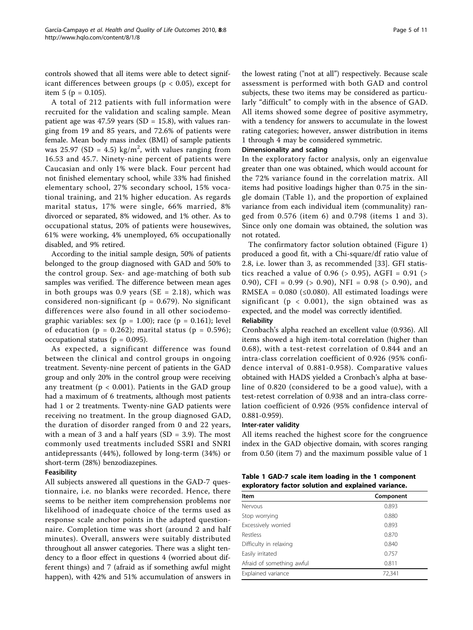controls showed that all items were able to detect significant differences between groups ( $p < 0.05$ ), except for item 5 ( $p = 0.105$ ).

A total of 212 patients with full information were recruited for the validation and scaling sample. Mean patient age was 47.59 years (SD = 15.8), with values ranging from 19 and 85 years, and 72.6% of patients were female. Mean body mass index (BMI) of sample patients was 25.97 (SD = 4.5) kg/m<sup>2</sup>, with values ranging from 16.53 and 45.7. Ninety-nine percent of patients were Caucasian and only 1% were black. Four percent had not finished elementary school, while 33% had finished elementary school, 27% secondary school, 15% vocational training, and 21% higher education. As regards marital status, 17% were single, 66% married, 8% divorced or separated, 8% widowed, and 1% other. As to occupational status, 20% of patients were housewives, 61% were working, 4% unemployed, 6% occupationally disabled, and 9% retired.

According to the initial sample design, 50% of patients belonged to the group diagnosed with GAD and 50% to the control group. Sex- and age-matching of both sub samples was verified. The difference between mean ages in both groups was 0.9 years ( $SE = 2.18$ ), which was considered non-significant ( $p = 0.679$ ). No significant differences were also found in all other sociodemographic variables: sex ( $p = 1.00$ ); race ( $p = 0.161$ ); level of education ( $p = 0.262$ ); marital status ( $p = 0.596$ ); occupational status ( $p = 0.095$ ).

As expected, a significant difference was found between the clinical and control groups in ongoing treatment. Seventy-nine percent of patients in the GAD group and only 20% in the control group were receiving any treatment ( $p < 0.001$ ). Patients in the GAD group had a maximum of 6 treatments, although most patients had 1 or 2 treatments. Twenty-nine GAD patients were receiving no treatment. In the group diagnosed GAD, the duration of disorder ranged from 0 and 22 years, with a mean of 3 and a half years ( $SD = 3.9$ ). The most commonly used treatments included SSRI and SNRI antidepressants (44%), followed by long-term (34%) or short-term (28%) benzodiazepines.

# Feasibility

All subjects answered all questions in the GAD-7 questionnaire, i.e. no blanks were recorded. Hence, there seems to be neither item comprehension problems nor likelihood of inadequate choice of the terms used as response scale anchor points in the adapted questionnaire. Completion time was short (around 2 and half minutes). Overall, answers were suitably distributed throughout all answer categories. There was a slight tendency to a floor effect in questions 4 (worried about different things) and 7 (afraid as if something awful might happen), with 42% and 51% accumulation of answers in

the lowest rating ("not at all") respectively. Because scale assessment is performed with both GAD and control subjects, these two items may be considered as particularly "difficult" to comply with in the absence of GAD. All items showed some degree of positive asymmetry, with a tendency for answers to accumulate in the lowest rating categories; however, answer distribution in items 1 through 4 may be considered symmetric.

# Dimensionality and scaling

In the exploratory factor analysis, only an eigenvalue greater than one was obtained, which would account for the 72% variance found in the correlation matrix. All items had positive loadings higher than 0.75 in the single domain (Table 1), and the proportion of explained variance from each individual item (communality) ranged from 0.576 (item 6) and 0.798 (items 1 and 3). Since only one domain was obtained, the solution was not rotated.

The confirmatory factor solution obtained (Figure [1](#page-5-0)) produced a good fit, with a Chi-square/df ratio value of 2.8, i.e. lower than 3, as recommended [\[33](#page-10-0)]. GFI statistics reached a value of 0.96 ( $> 0.95$ ), AGFI = 0.91 ( $>$ 0.90), CFI =  $0.99$  ( $> 0.90$ ), NFI = 0.98 ( $> 0.90$ ), and RMSEA =  $0.080$  (≤0.080). All estimated loadings were significant ( $p < 0.001$ ), the sign obtained was as expected, and the model was correctly identified.

# Reliability

Cronbach's alpha reached an excellent value (0.936). All items showed a high item-total correlation (higher than 0.68), with a test-retest correlation of 0.844 and an intra-class correlation coefficient of 0.926 (95% confidence interval of 0.881-0.958). Comparative values obtained with HADS yielded a Cronbach's alpha at baseline of 0.820 (considered to be a good value), with a test-retest correlation of 0.938 and an intra-class correlation coefficient of 0.926 (95% confidence interval of 0.881-0.959).

# Inter-rater validity

All items reached the highest score for the congruence index in the GAD objective domain, with scores ranging from 0.50 (item 7) and the maximum possible value of 1

| Table 1 GAD-7 scale item loading in the 1 component |  |
|-----------------------------------------------------|--|
| exploratory factor solution and explained variance. |  |

| Item                      | Component |
|---------------------------|-----------|
| Nervous                   | 0.893     |
| Stop worrying             | 0.880     |
| Excessively worried       | 0.893     |
| Restless                  | 0.870     |
| Difficulty in relaxing    | 0.840     |
| Easily irritated          | 0.757     |
| Afraid of something awful | 0.811     |
| Explained variance        | 72,341    |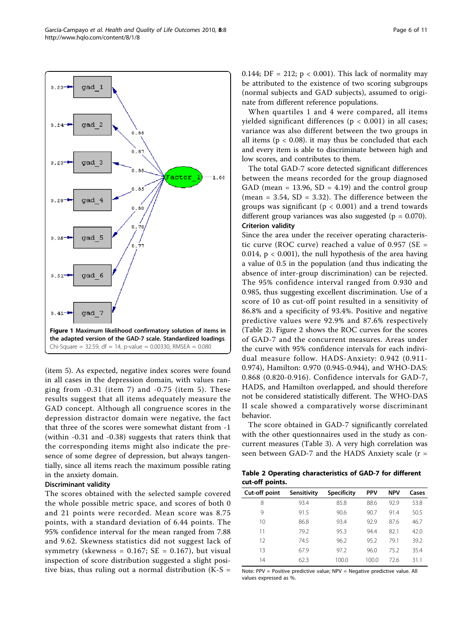<span id="page-5-0"></span>García-Campayo et al. Health and Quality of Life Outcomes 2010, 8:8 http://www.hqlo.com/content/8/1/8



(item 5). As expected, negative index scores were found in all cases in the depression domain, with values ranging from -0.31 (item 7) and -0.75 (item 5). These results suggest that all items adequately measure the GAD concept. Although all congruence scores in the depression distractor domain were negative, the fact that three of the scores were somewhat distant from -1 (within -0.31 and -0.38) suggests that raters think that the corresponding items might also indicate the presence of some degree of depression, but always tangentially, since all items reach the maximum possible rating in the anxiety domain.

# Discriminant validity

The scores obtained with the selected sample covered the whole possible metric space, and scores of both 0 and 21 points were recorded. Mean score was 8.75 points, with a standard deviation of 6.44 points. The 95% confidence interval for the mean ranged from 7.88 and 9.62. Skewness statistics did not suggest lack of symmetry (skewness =  $0.167$ ; SE =  $0.167$ ), but visual inspection of score distribution suggested a slight positive bias, thus ruling out a normal distribution  $(K-S =$  0.144;  $DF = 212$ ;  $p < 0.001$ ). This lack of normality may be attributed to the existence of two scoring subgroups (normal subjects and GAD subjects), assumed to originate from different reference populations.

When quartiles 1 and 4 were compared, all items yielded significant differences ( $p < 0.001$ ) in all cases; variance was also different between the two groups in all items ( $p < 0.08$ ). it may thus be concluded that each and every item is able to discriminate between high and low scores, and contributes to them.

The total GAD-7 score detected significant differences between the means recorded for the group diagnosed GAD (mean = 13.96,  $SD = 4.19$ ) and the control group (mean =  $3.54$ , SD =  $3.32$ ). The difference between the groups was significant ( $p < 0.001$ ) and a trend towards different group variances was also suggested ( $p = 0.070$ ). Criterion validity

Since the area under the receiver operating characteristic curve (ROC curve) reached a value of 0.957 (SE = 0.014,  $p < 0.001$ ), the null hypothesis of the area having a value of 0.5 in the population (and thus indicating the absence of inter-group discrimination) can be rejected. The 95% confidence interval ranged from 0.930 and 0.985, thus suggesting excellent discrimination. Use of a score of 10 as cut-off point resulted in a sensitivity of 86.8% and a specificity of 93.4%. Positive and negative predictive values were 92.9% and 87.6% respectively (Table 2). Figure [2](#page-6-0) shows the ROC curves for the scores of GAD-7 and the concurrent measures. Areas under the curve with 95% confidence intervals for each individual measure follow. HADS-Anxiety: 0.942 (0.911- 0.974), Hamilton: 0.970 (0.945-0.944), and WHO-DAS: 0.868 (0.820-0.916). Confidence intervals for GAD-7, HADS, and Hamilton overlapped, and should therefore not be considered statistically different. The WHO-DAS II scale showed a comparatively worse discriminant behavior.

The score obtained in GAD-7 significantly correlated with the other questionnaires used in the study as concurrent measures (Table [3](#page-6-0)). A very high correlation was seen between GAD-7 and the HADS Anxiety scale (r =

|                 | Table 2 Operating characteristics of GAD-7 for different |  |
|-----------------|----------------------------------------------------------|--|
| cut-off points. |                                                          |  |

| Cut-off point | Sensitivity | Specificity | <b>PPV</b> | <b>NPV</b> | Cases |
|---------------|-------------|-------------|------------|------------|-------|
| 8             | 93.4        | 85.8        | 88.6       | 92.9       | 53.8  |
| 9             | 91.5        | 90.6        | 90.7       | 91.4       | 50.5  |
| 10            | 86.8        | 93.4        | 92.9       | 87.6       | 46.7  |
| 11            | 79.2        | 95.3        | 94.4       | 82.1       | 42.0  |
| 12            | 74.5        | 96.2        | 95.2       | 791        | 39.2  |
| 13            | 67.9        | 97.2        | 96.0       | 75.2       | 35.4  |
| 14            | 62.3        | 100.0       | 100.0      | 726        | 31.1  |
|               |             |             |            |            |       |

Note: PPV = Positive predictive value; NPV = Negative predictive value. All values expressed as %.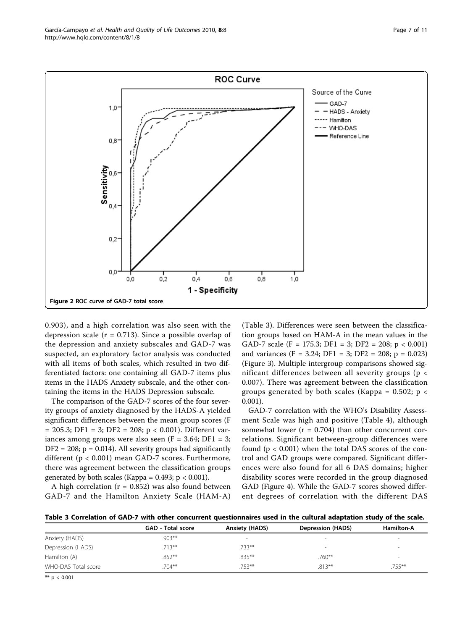0.903), and a high correlation was also seen with the depression scale ( $r = 0.713$ ). Since a possible overlap of the depression and anxiety subscales and GAD-7 was suspected, an exploratory factor analysis was conducted with all items of both scales, which resulted in two differentiated factors: one containing all GAD-7 items plus items in the HADS Anxiety subscale, and the other containing the items in the HADS Depression subscale.

Figure 2 ROC curve of GAD-7 total score.

 $0.4$ 

 $0.2$ 

0,0

 $0,0$ 

 $0.2$ 

 $0.4$ 

 $0,6$ 

1 - Specificity

 $0,8$ 

 $1,0$ 

The comparison of the GAD-7 scores of the four severity groups of anxiety diagnosed by the HADS-A yielded significant differences between the mean group scores (F  $= 205.3$ ; DF1 = 3; DF2 = 208; p < 0.001). Different variances among groups were also seen  $(F = 3.64; DF1 = 3;$  $DF2 = 208$ ;  $p = 0.014$ ). All severity groups had significantly different (p < 0.001) mean GAD-7 scores. Furthermore, there was agreement between the classification groups generated by both scales (Kappa =  $0.493$ ; p <  $0.001$ ).

A high correlation ( $r = 0.852$ ) was also found between GAD-7 and the Hamilton Anxiety Scale (HAM-A)

(Table 3). Differences were seen between the classification groups based on HAM-A in the mean values in the GAD-7 scale (F = 175.3; DF1 = 3; DF2 = 208; p < 0.001) and variances (F = 3.24; DF1 = 3; DF2 = 208; p = 0.023) (Figure [3\)](#page-7-0). Multiple intergroup comparisons showed significant differences between all severity groups (p < 0.007). There was agreement between the classification groups generated by both scales (Kappa =  $0.502$ ; p < 0.001).

GAD-7 correlation with the WHO's Disability Assessment Scale was high and positive (Table [4](#page-7-0)), although somewhat lower  $(r = 0.704)$  than other concurrent correlations. Significant between-group differences were found  $(p < 0.001)$  when the total DAS scores of the control and GAD groups were compared. Significant differences were also found for all 6 DAS domains; higher disability scores were recorded in the group diagnosed GAD (Figure [4](#page-8-0)). While the GAD-7 scores showed different degrees of correlation with the different DAS



|                     | <b>GAD - Total score</b> | Anxiety (HADS) | Depression (HADS)        | <b>Hamilton-A</b> |
|---------------------|--------------------------|----------------|--------------------------|-------------------|
| Anxiety (HADS)      | $.903***$                | $\sim$         | $\overline{\phantom{a}}$ | $\sim$            |
| Depression (HADS)   | $.713***$                | .733**         | $\sim$                   |                   |
| Hamilton (A)        | $.852***$                | $.835***$      | $.760***$                |                   |
| WHO-DAS Total score | $.704***$                | $.753**$       | $.813***$                | $.755***$         |

\*\*  $p < 0.001$ 

<span id="page-6-0"></span>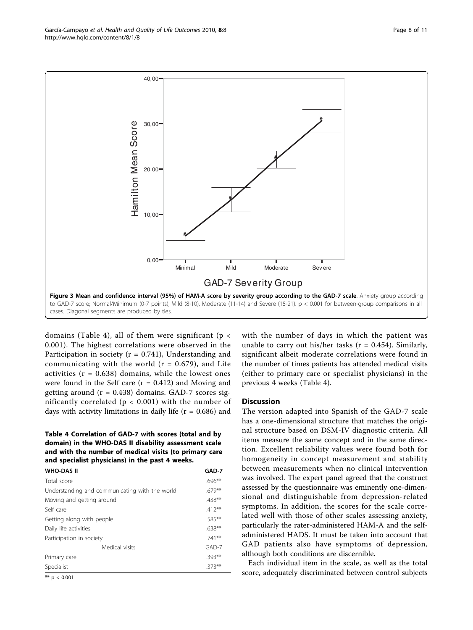<span id="page-7-0"></span>

domains (Table 4), all of them were significant ( $p <$ 0.001). The highest correlations were observed in the Participation in society ( $r = 0.741$ ), Understanding and communicating with the world ( $r = 0.679$ ), and Life activities  $(r = 0.638)$  domains, while the lowest ones were found in the Self care  $(r = 0.412)$  and Moving and getting around  $(r = 0.438)$  domains. GAD-7 scores significantly correlated ( $p < 0.001$ ) with the number of days with activity limitations in daily life ( $r = 0.686$ ) and

Table 4 Correlation of GAD-7 with scores (total and by domain) in the WHO-DAS II disability assessment scale and with the number of medical visits (to primary care and specialist physicians) in the past 4 weeks.

| <b>WHO-DAS II</b>                              | GAD-7     |
|------------------------------------------------|-----------|
| Total score                                    | $.696***$ |
| Understanding and communicating with the world | .679**    |
| Moving and getting around                      | $.438***$ |
| Self care                                      | $.412***$ |
| Getting along with people                      | .585**    |
| Daily life activities                          | $.638**$  |
| Participation in society                       | $.741***$ |
| Medical visits                                 | $GAD-7$   |
| Primary care                                   | $.393**$  |
| Specialist                                     | $.373**$  |

\*\*  $p < 0.001$ 

with the number of days in which the patient was unable to carry out his/her tasks  $(r = 0.454)$ . Similarly, significant albeit moderate correlations were found in the number of times patients has attended medical visits (either to primary care or specialist physicians) in the previous 4 weeks (Table 4).

#### **Discussion**

The version adapted into Spanish of the GAD-7 scale has a one-dimensional structure that matches the original structure based on DSM-IV diagnostic criteria. All items measure the same concept and in the same direction. Excellent reliability values were found both for homogeneity in concept measurement and stability between measurements when no clinical intervention was involved. The expert panel agreed that the construct assessed by the questionnaire was eminently one-dimensional and distinguishable from depression-related symptoms. In addition, the scores for the scale correlated well with those of other scales assessing anxiety, particularly the rater-administered HAM-A and the selfadministered HADS. It must be taken into account that GAD patients also have symptoms of depression, although both conditions are discernible.

Each individual item in the scale, as well as the total score, adequately discriminated between control subjects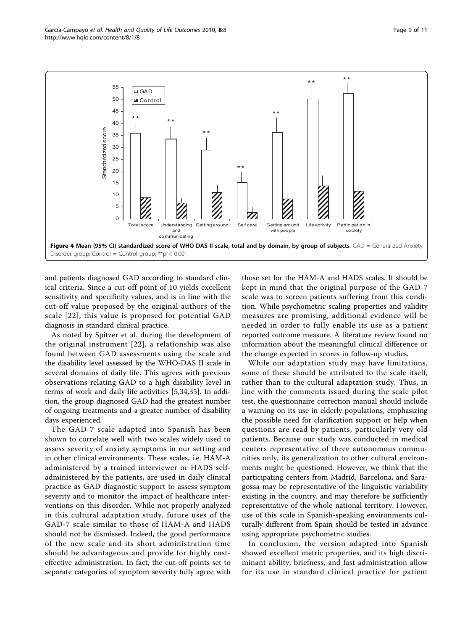<span id="page-8-0"></span>

and patients diagnosed GAD according to standard clinical criteria. Since a cut-off point of 10 yields excellent sensitivity and specificity values, and is in line with the cut-off value proposed by the original authors of the scale [[22](#page-9-0)], this value is proposed for potential GAD diagnosis in standard clinical practice.

As noted by Spitzer et al. during the development of the original instrument [[22\]](#page-9-0), a relationship was also found between GAD assessments using the scale and the disability level assessed by the WHO-DAS II scale in several domains of daily life. This agrees with previous observations relating GAD to a high disability level in terms of work and daily life activities [\[5](#page-9-0)[,34,35](#page-10-0)]. In addition, the group diagnosed GAD had the greatest number of ongoing treatments and a greater number of disability days experienced.

The GAD-7 scale adapted into Spanish has been shown to correlate well with two scales widely used to assess severity of anxiety symptoms in our setting and in other clinical environments. These scales, i.e. HAM-A administered by a trained interviewer or HADS selfadministered by the patients, are used in daily clinical practice as GAD diagnostic support to assess symptom severity and to monitor the impact of healthcare interventions on this disorder. While not properly analyzed in this cultural adaptation study, future uses of the GAD-7 scale similar to those of HAM-A and HADS should not be dismissed. Indeed, the good performance of the new scale and its short administration time should be advantageous and provide for highly costeffective administration. In fact, the cut-off points set to separate categories of symptom severity fully agree with

those set for the HAM-A and HADS scales. It should be kept in mind that the original purpose of the GAD-7 scale was to screen patients suffering from this condition. While psychometric scaling properties and validity measures are promising, additional evidence will be needed in order to fully enable its use as a patient reported outcome measure. A literature review found no information about the meaningful clinical difference or the change expected in scores in follow-up studies.

While our adaptation study may have limitations, some of these should be attributed to the scale itself, rather than to the cultural adaptation study. Thus, in line with the comments issued during the scale pilot test, the questionnaire correction manual should include a warning on its use in elderly populations, emphasizing the possible need for clarification support or help when questions are read by patients, particularly very old patients. Because our study was conducted in medical centers representative of three autonomous communities only, its generalization to other cultural environments might be questioned. However, we think that the participating centers from Madrid, Barcelona, and Saragossa may be representative of the linguistic variability existing in the country, and may therefore be sufficiently representative of the whole national territory. However, use of this scale in Spanish-speaking environments culturally different from Spain should be tested in advance using appropriate psychometric studies.

In conclusion, the version adapted into Spanish showed excellent metric properties, and its high discriminant ability, briefness, and fast administration allow for its use in standard clinical practice for patient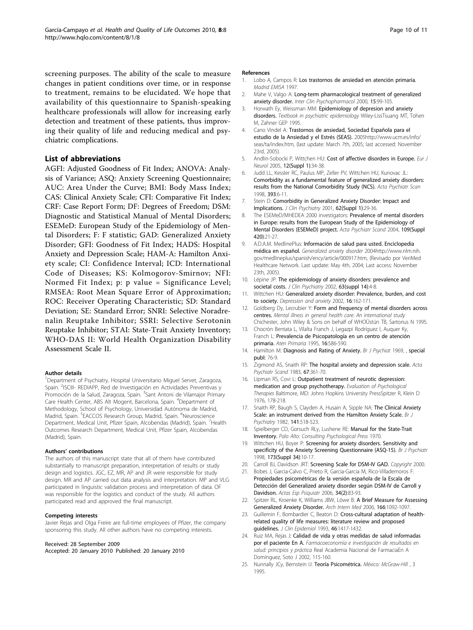<span id="page-9-0"></span>screening purposes. The ability of the scale to measure changes in patient conditions over time, or in response to treatment, remains to be elucidated. We hope that availability of this questionnaire to Spanish-speaking healthcare professionals will allow for increasing early detection and treatment of these patients, thus improving their quality of life and reducing medical and psychiatric complications.

# List of abbreviations

AGFI: Adjusted Goodness of Fit Index; ANOVA: Analysis of Variance; ASQ: Anxiety Screening Questionnaire; AUC: Area Under the Curve; BMI: Body Mass Index; CAS: Clinical Anxiety Scale; CFI: Comparative Fit Index; CRF: Case Report Form; DF: Degrees of Freedom; DSM: Diagnostic and Statistical Manual of Mental Disorders; ESEMeD: European Study of the Epidemiology of Mental Disorders; F: F statistic; GAD: Generalized Anxiety Disorder; GFI: Goodness of Fit Index; HADS: Hospital Anxiety and Depression Scale; HAM-A: Hamilton Anxiety scale; CI: Confidence Interval; ICD: International Code of Diseases; KS: Kolmogorov-Smirnov; NFI: Normed Fit Index; p: p value = Significance Level; RMSEA: Root Mean Square Error of Approximation; ROC: Receiver Operating Characteristic; SD: Standard Deviation; SE: Standard Error; SNRI: Selective Noradrenalin Reuptake Inhibitor; SSRI: Selective Serotonin Reuptake Inhibitor; STAI: State-Trait Anxiety Inventory; WHO-DAS II: World Health Organization Disability Assessment Scale II.

#### Author details

<sup>1</sup>Department of Psychiatry, Hospital Universitario Miguel Servet, Zaragoza, Spain. <sup>2</sup>ISCIII- REDIAPP, Red de Investigación en Actividades Preventivas y Promoción de la Salud, Zaragoza, Spain. <sup>3</sup>Sant Antoni de Vilamajor Primary Care Health Center, ABS Alt Mogent, Barcelona, Spain. <sup>4</sup>Department of Methodology, School of Psychology, Universidad Autónoma de Madrid, Madrid, Spain. <sup>5</sup>EACCOS Research Group, Madrid, Spain. <sup>6</sup>Neuroscience Department, Medical Unit, Pfizer Spain, Alcobendas (Madrid), Spain. <sup>7</sup>Health Outcomes Research Department, Medical Unit, Pfizer Spain, Alcobendas (Madrid), Spain.

#### Authors' contributions

The authors of this manuscript state that all of them have contributed substantially to manuscript preparation, interpretation of results or study design and logistics. JGC, EZ, MR, AP and JR were responsible for study design. MR and AP carried out data analysis and interpretation. MP and VLG participated in linguistic validation process and interpretation of data. OF was responsible for the logistics and conduct of the study. All authors participated read and approved the final manuscript.

#### Competing interests

Javier Rejas and Olga Freire are full-time employees of Pfizer, the company sponsoring this study. All other authors have no competing interests.

#### Received: 28 September 2009

Accepted: 20 January 2010 Published: 20 January 2010

#### References

- 1. Lobo A, Campos R: Los trastornos de ansiedad en atención primaria. Madrid EMISA 1997.
- 2. Mahe V, Valgo A: Long-term pharmacological treatment of generalized anxiety disorder. Inter Clin Psychopharmacol 2000, 15:99-105
- 3. Horwath Ey, Weissman MM: Epidemiology of depresion and anxiety disorders. Textbook in psychiatric epidemiology Wiley-LissTsuang MT, Tohen M, Zahner GEP 1995.
- 4. Cano Vindel A: Trastornos de ansiedad, Sociedad Española para el estudio de la Ansiedad y el Estrés (SEAS). 200[5http://www.ucm.es/info/](http://www.ucm.es/info/seas/ta/index.htm) [seas/ta/index.htm,](http://www.ucm.es/info/seas/ta/index.htm) (last update: March 7th, 2005; last accessed: November 23rd, 2005).
- 5. Andlin-Sobocki P, Wittchen HU: [Cost of affective disorders in Europe.](http://www.ncbi.nlm.nih.gov/pubmed/15877776?dopt=Abstract) Eur J Neurol 2005, 12(Suppl 1):34-38.
- 6. Judd LL, Kessler RC, Paulus MP, Zeller PV, Wittchen HU, Kunovac JL: Comorbidity as a fundamental feature of generalized anxiety disorders: results from the National Comorbidity Study (NCS). Acta Psychiatr Scan 1998, 393:6-11.
- 7. Stein D: [Comorbidity in Generalized Anxiety Disorder: Impact and](http://www.ncbi.nlm.nih.gov/pubmed/11414548?dopt=Abstract) [Implications.](http://www.ncbi.nlm.nih.gov/pubmed/11414548?dopt=Abstract) J Clin Psychiatry 2001, 62(Suppl 1):29-36.
- 8. The ESEMeD/MHEDEA 2000 investigators: Prevalence of mental disorders in Europe: results from the European Study of the Epidemiology of Mental Disorders (ESEMeD) project. Acta Psychiatr Scand 2004, 109(Suppl 420):21-27.
- 9. A.D.A.M. MedlinePlus: Información de salud para usted. Enciclopedia médica en español. Generalized anxiety disorder 200[4http://www.nlm.nih.](http://www.nlm.nih.gov/medlineplus/spanish/ency/article/000917.htm) [gov/medlineplus/spanish/ency/article/000917.htm](http://www.nlm.nih.gov/medlineplus/spanish/ency/article/000917.htm), (Revisado por VeriMed Healthcare Network. Last update: May 4th, 2004; Last access: November 23th, 2005).
- 10. Lépine JP: [The epidemiology of anxiety disorders: prevalence and](http://www.ncbi.nlm.nih.gov/pubmed/12562112?dopt=Abstract) [societal costs.](http://www.ncbi.nlm.nih.gov/pubmed/12562112?dopt=Abstract) J Clin Psychiatry 2002, 63(suppl 14):4-8.
- 11. Wittchen HU: [Generalized anxiety disorder: Prevalence, burden, and cost](http://www.ncbi.nlm.nih.gov/pubmed/12497648?dopt=Abstract) [to society.](http://www.ncbi.nlm.nih.gov/pubmed/12497648?dopt=Abstract) Depression and anxiety 2002, 16:162-171.
- 12. Goldberg Dy, Lecrubier Y: Form and frequency of mental disorders across centres. Mental illness in general health care: An international study Chichester, John Wiley & Sons on behalf of WHOÜstün TB, Sartorius N 1995.
- 13. Chocrón Bentata L, Vilalta Franch J, Legazpi Rodríguez I, Auquer Ky, Franch L: [Prevalencia de Psicopatología en un centro de atención](http://www.ncbi.nlm.nih.gov/pubmed/8555389?dopt=Abstract) [primaria.](http://www.ncbi.nlm.nih.gov/pubmed/8555389?dopt=Abstract) Aten Primaria 1995, 16:586-590.
- 14. Hamilton M: Diagnosis and Rating of Anxiety. Br J Psychiat 1969, , special publ: 76-9.
- 15. Zigmond AS, Snaith RP: [The hospital anxiety and depression scale.](http://www.ncbi.nlm.nih.gov/pubmed/6880820?dopt=Abstract) Acta Psychiatr Scand 1983, 67:361-70.
- 16. Lipman RS, Covi L: Outpatient treatment of neurotic depression: medication and group psychotherapy. Evaluation of Psychological Therapies Baltimore, MD: Johns Hopkins University PressSpitzer R, Klein D 1976, 178-218.
- 17. Snaith RP, Baugh S, Clayden A, Husain A, Sipple NA: [The Clinical Anxiety](http://www.ncbi.nlm.nih.gov/pubmed/7150890?dopt=Abstract) [Scale: an instrument derived from the Hamilton Anxiety Scale.](http://www.ncbi.nlm.nih.gov/pubmed/7150890?dopt=Abstract) Br J Psychiatry 1982, 141:518-523.
- 18. Spielberger CD, Gorsuch RLy, Lushene RE: Manual for the State-Trait Inventory. Palo Alto: Consulting Psychological Press 1970.
- 19. Wittchen HU, Boyer P: Screening for anxiety disorders. Sensitivity and specificity of the Anxiety Screening Questionnaire (ASQ-15). Br J Psychiatr 1998, 173(Suppl 34):10-17.
- 20. Carroll BJ, Davidson JRT: Screening Scale for DSM-IV GAD. Copyright 2000.
- 21. Bobes J, Garcia-Calvo C, Prieto R, Garcia-Garcia M, Rico-Villademoros F: [Propiedades psicométricas de la versión española de la Escala de](http://www.ncbi.nlm.nih.gov/pubmed/16552636?dopt=Abstract) [Detección del Generalized anxiety disorder según DSM-IV de Carroll y](http://www.ncbi.nlm.nih.gov/pubmed/16552636?dopt=Abstract) [Davidson.](http://www.ncbi.nlm.nih.gov/pubmed/16552636?dopt=Abstract) Actas Esp Psiquiatr 2006, 34(2):83-93.
- 22. Spitzer RL, Kroenke K, Williams JBW, Löwe B: [A Brief Measure for Assessing](http://www.ncbi.nlm.nih.gov/pubmed/16717171?dopt=Abstract) [Generalized Anxiety Disorder.](http://www.ncbi.nlm.nih.gov/pubmed/16717171?dopt=Abstract) Arch Intern Med 2006, 166:1092-1097.
- 23. Guillemin F, Bombardier C, Beaton D: [Cross-cultural adaptation of health](http://www.ncbi.nlm.nih.gov/pubmed/8263569?dopt=Abstract)[related quality of life measures: literature review and proposed](http://www.ncbi.nlm.nih.gov/pubmed/8263569?dopt=Abstract) [guidelines.](http://www.ncbi.nlm.nih.gov/pubmed/8263569?dopt=Abstract) J Clin Epidemiol 1993, 46:1417-1432.
- 24. Ruiz MA, Rejas J: Calidad de vida y otras medidas de salud informadas por el paciente En A. Farmacoeconomía e investigación de resultados en salud: principios y práctica Real Academia Nacional de FarmaciaEn A Domínguez, Soto J 2002, 115-160.
- 25. Nunnally JCy, Bernstein IJ: Teoría Psicométrica. México: McGraw-Hill, 3 1995.